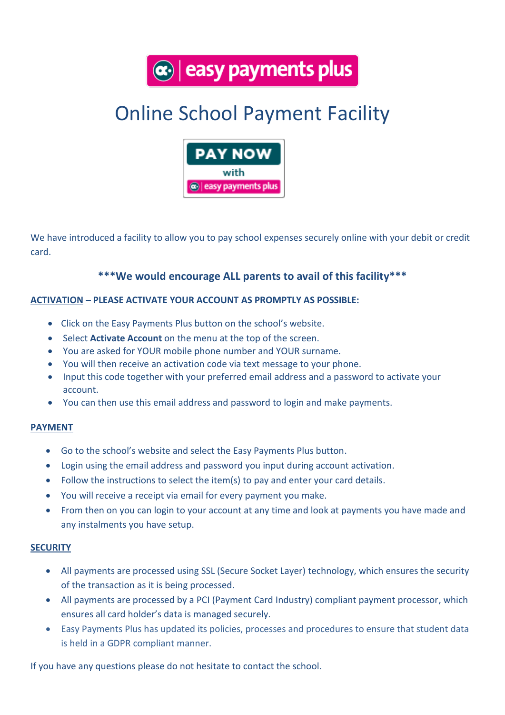$\left|\mathbf{c}\right|$  easy payments plus

# Online School Payment Facility



We have introduced a facility to allow you to pay school expenses securely online with your debit or credit card.

## **\*\*\*We would encourage ALL parents to avail of this facility\*\*\***

### **ACTIVATION – PLEASE ACTIVATE YOUR ACCOUNT AS PROMPTLY AS POSSIBLE:**

- Click on the Easy Payments Plus button on the school's website.
- Select **Activate Account** on the menu at the top of the screen.
- You are asked for YOUR mobile phone number and YOUR surname.
- You will then receive an activation code via text message to your phone.
- Input this code together with your preferred email address and a password to activate your account.
- You can then use this email address and password to login and make payments.

#### **PAYMENT**

- Go to the school's website and select the Easy Payments Plus button.
- Login using the email address and password you input during account activation.
- Follow the instructions to select the item(s) to pay and enter your card details.
- You will receive a receipt via email for every payment you make.
- From then on you can login to your account at any time and look at payments you have made and any instalments you have setup.

#### **SECURITY**

- All payments are processed using SSL (Secure Socket Layer) technology, which ensures the security of the transaction as it is being processed.
- All payments are processed by a PCI (Payment Card Industry) compliant payment processor, which ensures all card holder's data is managed securely.
- Easy Payments Plus has updated its policies, processes and procedures to ensure that student data is held in a GDPR compliant manner.

If you have any questions please do not hesitate to contact the school.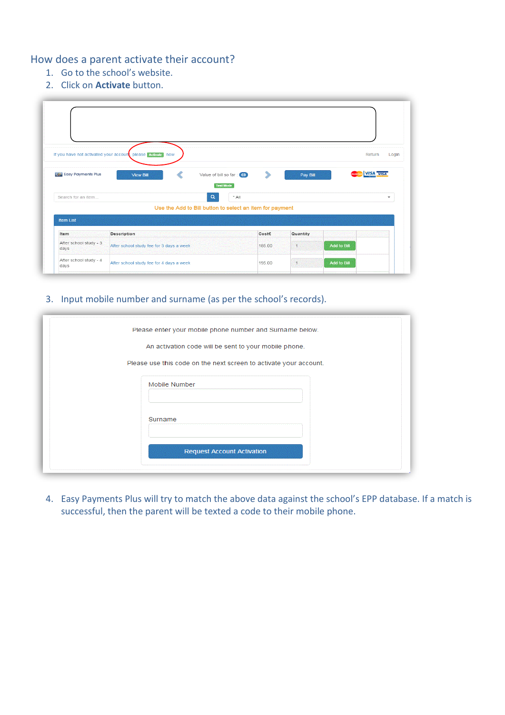## How does a parent activate their account?

- 1. Go to the school's website.
- 2. Click on **Activate** button.

|                                | If you have not activated your account, please Activate. | now |                                                          |         |        |           |             | Return           | Login |
|--------------------------------|----------------------------------------------------------|-----|----------------------------------------------------------|---------|--------|-----------|-------------|------------------|-------|
| GP Easy Payments Plus          | <b>View Bill</b>                                         |     | Value of bill so far: (0)                                |         | ⋟      | Pay Bill  |             | <b>VISA VISA</b> |       |
|                                |                                                          |     |                                                          |         |        |           |             |                  |       |
|                                |                                                          |     | <b>Test Mode</b>                                         |         |        |           |             |                  |       |
| Search for an item             |                                                          |     | $\alpha$                                                 | $*$ All |        |           |             |                  | ۰     |
|                                |                                                          |     | Use the Add to Bill button to select an item for payment |         |        |           |             |                  |       |
| <b>Item List</b>               |                                                          |     |                                                          |         |        |           |             |                  |       |
| Item                           | <b>Description</b>                                       |     |                                                          |         | Cost€  | Quantity  |             |                  |       |
| After school study - 3<br>days | After school study fee for 3 days a week                 |     |                                                          |         | 185.00 | $\vert$ 1 | Add to Bill |                  |       |

#### 3. Input mobile number and surname (as per the school's records).

| Please enter your mobile phone number and Surname below.          |  |
|-------------------------------------------------------------------|--|
| An activation code will be sent to your mobile phone.             |  |
| Please use this code on the next screen to activate your account. |  |
| Mobile Number                                                     |  |
| Surname                                                           |  |
| <b>Request Account Activation</b>                                 |  |

4. Easy Payments Plus will try to match the above data against the school's EPP database. If a match is successful, then the parent will be texted a code to their mobile phone.